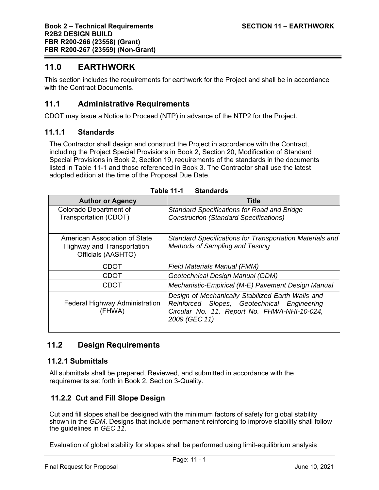# **11.0 EARTHWORK**

This section includes the requirements for earthwork for the Project and shall be in accordance with the Contract Documents.

# **11.1 Administrative Requirements**

CDOT may issue a Notice to Proceed (NTP) in advance of the NTP2 for the Project.

#### **11.1.1 Standards**

The Contractor shall design and construct the Project in accordance with the Contract, including the Project Special Provisions in Book 2, Section 20, Modification of Standard Special Provisions in Book 2, Section 19, requirements of the standards in the documents listed in Table 11-1 and those referenced in Book 3. The Contractor shall use the latest adopted edition at the time of the Proposal Due Date.

| <b>Author or Agency</b>                                                           | <b>Title</b>                                                                                                                                                      |  |  |
|-----------------------------------------------------------------------------------|-------------------------------------------------------------------------------------------------------------------------------------------------------------------|--|--|
| Colorado Department of<br>Transportation (CDOT)                                   | Standard Specifications for Road and Bridge<br><b>Construction (Standard Specifications)</b>                                                                      |  |  |
| American Association of State<br>Highway and Transportation<br>Officials (AASHTO) | Standard Specifications for Transportation Materials and<br>Methods of Sampling and Testing                                                                       |  |  |
| <b>CDOT</b>                                                                       | <b>Field Materials Manual (FMM)</b>                                                                                                                               |  |  |
| <b>CDOT</b>                                                                       | Geotechnical Design Manual (GDM)                                                                                                                                  |  |  |
| CDOT                                                                              | Mechanistic-Empirical (M-E) Pavement Design Manual                                                                                                                |  |  |
| <b>Federal Highway Administration</b><br>(FHWA)                                   | Design of Mechanically Stabilized Earth Walls and<br>Reinforced Slopes, Geotechnical Engineering<br>Circular No. 11, Report No. FHWA-NHI-10-024,<br>2009 (GEC 11) |  |  |

# **11.2 Design Requirements**

#### **11.2.1 Submittals**

All submittals shall be prepared, Reviewed, and submitted in accordance with the requirements set forth in Book 2, Section 3-Quality.

# **11.2.2 Cut and Fill Slope Design**

Cut and fill slopes shall be designed with the minimum factors of safety for global stability shown in the *GDM*. Designs that include permanent reinforcing to improve stability shall follow the guidelines in *GEC 11.* 

Evaluation of global stability for slopes shall be performed using limit-equilibrium analysis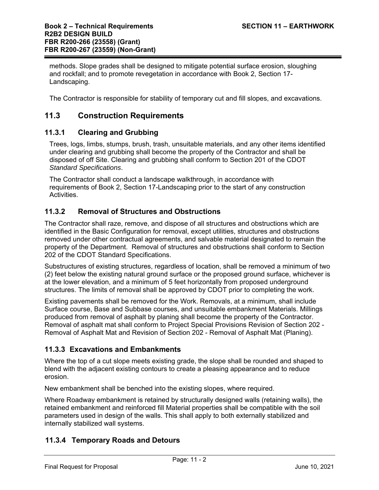methods. Slope grades shall be designed to mitigate potential surface erosion, sloughing and rockfall; and to promote revegetation in accordance with Book 2, Section 17- Landscaping.

The Contractor is responsible for stability of temporary cut and fill slopes, and excavations.

## **11.3 Construction Requirements**

#### **11.3.1 Clearing and Grubbing**

Trees, logs, limbs, stumps, brush, trash, unsuitable materials, and any other items identified under clearing and grubbing shall become the property of the Contractor and shall be disposed of off Site. Clearing and grubbing shall conform to Section 201 of the CDOT *Standard Specifications*.

The Contractor shall conduct a landscape walkthrough, in accordance with requirements of Book 2, Section 17-Landscaping prior to the start of any construction Activities.

### **11.3.2 Removal of Structures and Obstructions**

The Contractor shall raze, remove, and dispose of all structures and obstructions which are identified in the Basic Configuration for removal, except utilities, structures and obstructions removed under other contractual agreements, and salvable material designated to remain the property of the Department. Removal of structures and obstructions shall conform to Section 202 of the CDOT Standard Specifications.

Substructures of existing structures, regardless of location, shall be removed a minimum of two (2) feet below the existing natural ground surface or the proposed ground surface, whichever is at the lower elevation, and a minimum of 5 feet horizontally from proposed underground structures. The limits of removal shall be approved by CDOT prior to completing the work.

Existing pavements shall be removed for the Work. Removals, at a minimum, shall include Surface course, Base and Subbase courses, and unsuitable embankment Materials. Millings produced from removal of asphalt by planing shall become the property of the Contractor. Removal of asphalt mat shall conform to Project Special Provisions Revision of Section 202 - Removal of Asphalt Mat and Revision of Section 202 - Removal of Asphalt Mat (Planing).

## **11.3.3 Excavations and Embankments**

Where the top of a cut slope meets existing grade, the slope shall be rounded and shaped to blend with the adjacent existing contours to create a pleasing appearance and to reduce erosion.

New embankment shall be benched into the existing slopes, where required.

Where Roadway embankment is retained by structurally designed walls (retaining walls), the retained embankment and reinforced fill Material properties shall be compatible with the soil parameters used in design of the walls. This shall apply to both externally stabilized and internally stabilized wall systems.

## **11.3.4 Temporary Roads and Detours**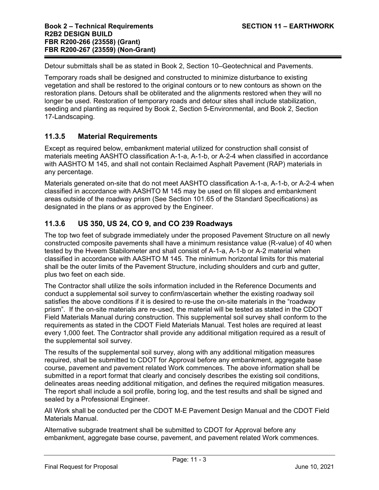Detour submittals shall be as stated in Book 2, Section 10–Geotechnical and Pavements.

Temporary roads shall be designed and constructed to minimize disturbance to existing vegetation and shall be restored to the original contours or to new contours as shown on the restoration plans. Detours shall be obliterated and the alignments restored when they will no longer be used. Restoration of temporary roads and detour sites shall include stabilization, seeding and planting as required by Book 2, Section 5-Environmental, and Book 2, Section 17-Landscaping.

## **11.3.5 Material Requirements**

Except as required below, embankment material utilized for construction shall consist of materials meeting AASHTO classification A-1-a, A-1-b, or A-2-4 when classified in accordance with AASHTO M 145, and shall not contain Reclaimed Asphalt Pavement (RAP) materials in any percentage.

Materials generated on-site that do not meet AASHTO classification A-1-a, A-1-b, or A-2-4 when classified in accordance with AASHTO M 145 may be used on fill slopes and embankment areas outside of the roadway prism (See Section 101.65 of the Standard Specifications) as designated in the plans or as approved by the Engineer.

## **11.3.6 US 350, US 24, CO 9, and CO 239 Roadways**

The top two feet of subgrade immediately under the proposed Pavement Structure on all newly constructed composite pavements shall have a minimum resistance value (R-value) of 40 when tested by the Hveem Stabilometer and shall consist of A-1-a, A-1-b or A-2 material when classified in accordance with AASHTO M 145. The minimum horizontal limits for this material shall be the outer limits of the Pavement Structure, including shoulders and curb and gutter, plus two feet on each side.

The Contractor shall utilize the soils information included in the Reference Documents and conduct a supplemental soil survey to confirm/ascertain whether the existing roadway soil satisfies the above conditions if it is desired to re-use the on-site materials in the "roadway prism". If the on-site materials are re-used, the material will be tested as stated in the CDOT Field Materials Manual during construction. This supplemental soil survey shall conform to the requirements as stated in the CDOT Field Materials Manual. Test holes are required at least every 1,000 feet. The Contractor shall provide any additional mitigation required as a result of the supplemental soil survey.

The results of the supplemental soil survey, along with any additional mitigation measures required, shall be submitted to CDOT for Approval before any embankment, aggregate base course, pavement and pavement related Work commences. The above information shall be submitted in a report format that clearly and concisely describes the existing soil conditions, delineates areas needing additional mitigation, and defines the required mitigation measures. The report shall include a soil profile, boring log, and the test results and shall be signed and sealed by a Professional Engineer.

All Work shall be conducted per the CDOT M-E Pavement Design Manual and the CDOT Field Materials Manual.

Alternative subgrade treatment shall be submitted to CDOT for Approval before any embankment, aggregate base course, pavement, and pavement related Work commences.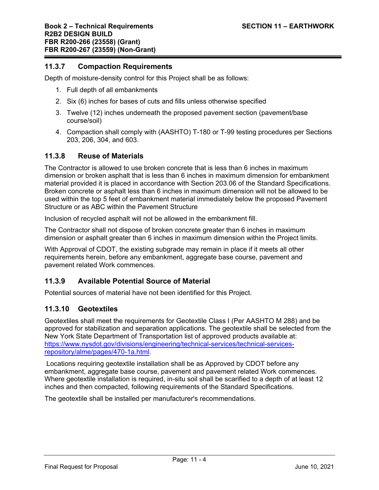#### **11.3.7 Compaction Requirements**

Depth of moisture-density control for this Project shall be as follows:

- 1. Full depth of all embankments
- 2. Six (6) inches for bases of cuts and fills unless otherwise specified
- 3. Twelve (12) inches underneath the proposed pavement section (pavement/base course/soil)
- 4. Compaction shall comply with (AASHTO) T-180 or T-99 testing procedures per Sections 203, 206, 304, and 603.

#### **11.3.8 Reuse of Materials**

The Contractor is allowed to use broken concrete that is less than 6 inches in maximum dimension or broken asphalt that is less than 6 inches in maximum dimension for embankment material provided it is placed in accordance with Section 203.06 of the Standard Specifications. Broken concrete or asphalt less than 6 inches in maximum dimension will not be allowed to be used within the top 5 feet of embankment material immediately below the proposed Pavement Structure or as ABC within the Pavement Structure

Inclusion of recycled asphalt will not be allowed in the embankment fill.

The Contractor shall not dispose of broken concrete greater than 6 inches in maximum dimension or asphalt greater than 6 inches in maximum dimension within the Project limits.

With Approval of CDOT, the existing subgrade may remain in place if it meets all other requirements herein, before any embankment, aggregate base course, pavement and pavement related Work commences.

## **11.3.9 Available Potential Source of Material**

Potential sources of material have not been identified for this Project.

#### **11.3.10 Geotextiles**

Geotextiles shall meet the requirements for Geotextile Class I (Per AASHTO M 288) and be approved for stabilization and separation applications. The geotextile shall be selected from the New York State Department of Transportation list of approved products available at: https://www.nysdot.gov/divisions/engineering/technical-services/technical-servicesrepository/alme/pages/470-1a.html.

 Locations requiring geotextile installation shall be as Approved by CDOT before any embankment, aggregate base course, pavement and pavement related Work commences. Where geotextile installation is required, in-situ soil shall be scarified to a depth of at least 12 inches and then compacted, following requirements of the Standard Specifications.

The geotextile shall be installed per manufacturer's recommendations.